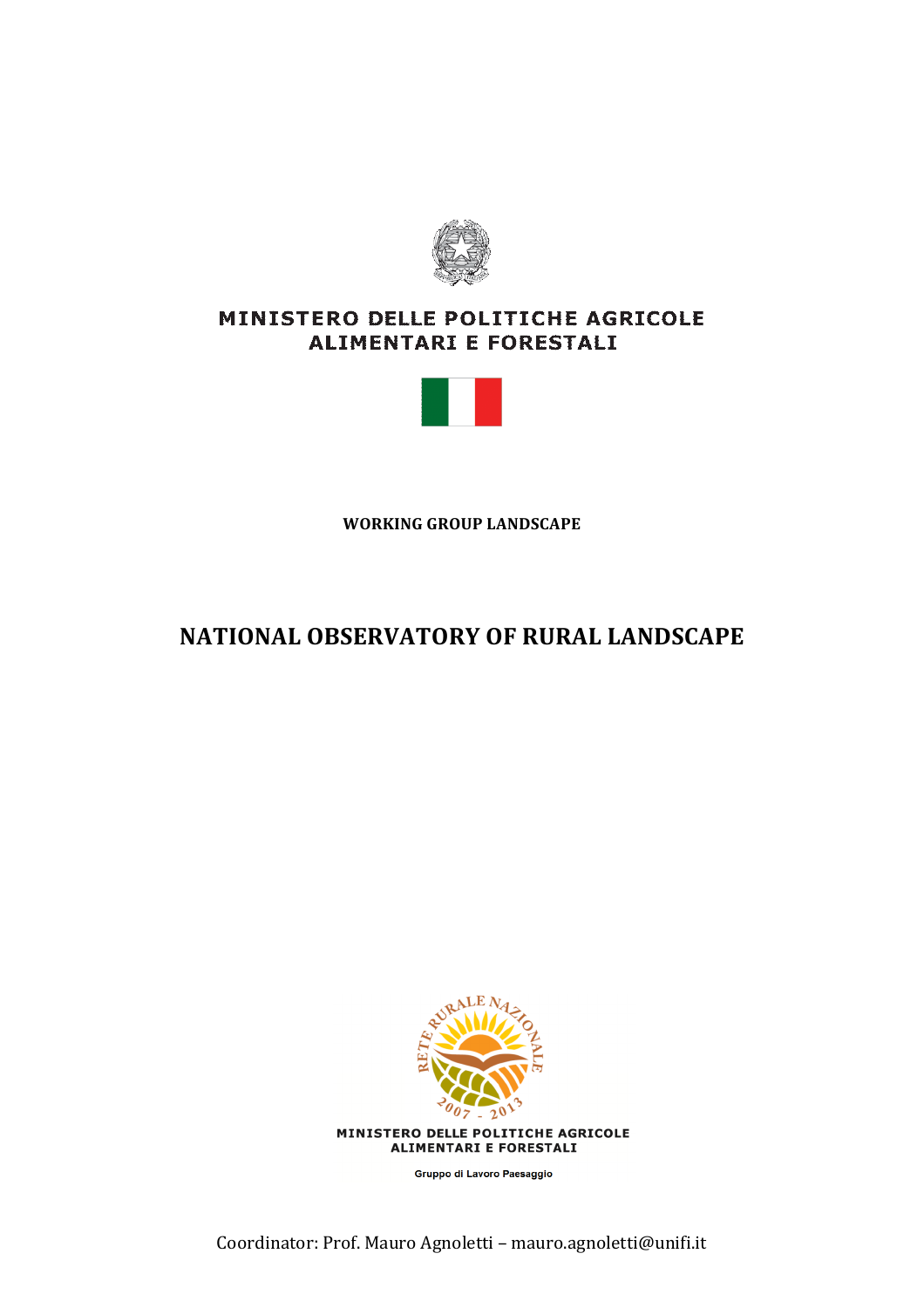

# MINISTERO DELLE POLITICHE AGRICOLE ALIMENTARI E FORESTALI



**WORKING GROUP LANDSCAPE** 

# **NATIONAL OBSERVATORY OF RURAL LANDSCAPE**



Gruppo di Lavoro Paesaggio

Coordinator: Prof. Mauro Agnoletti - mauro.agnoletti@unifi.it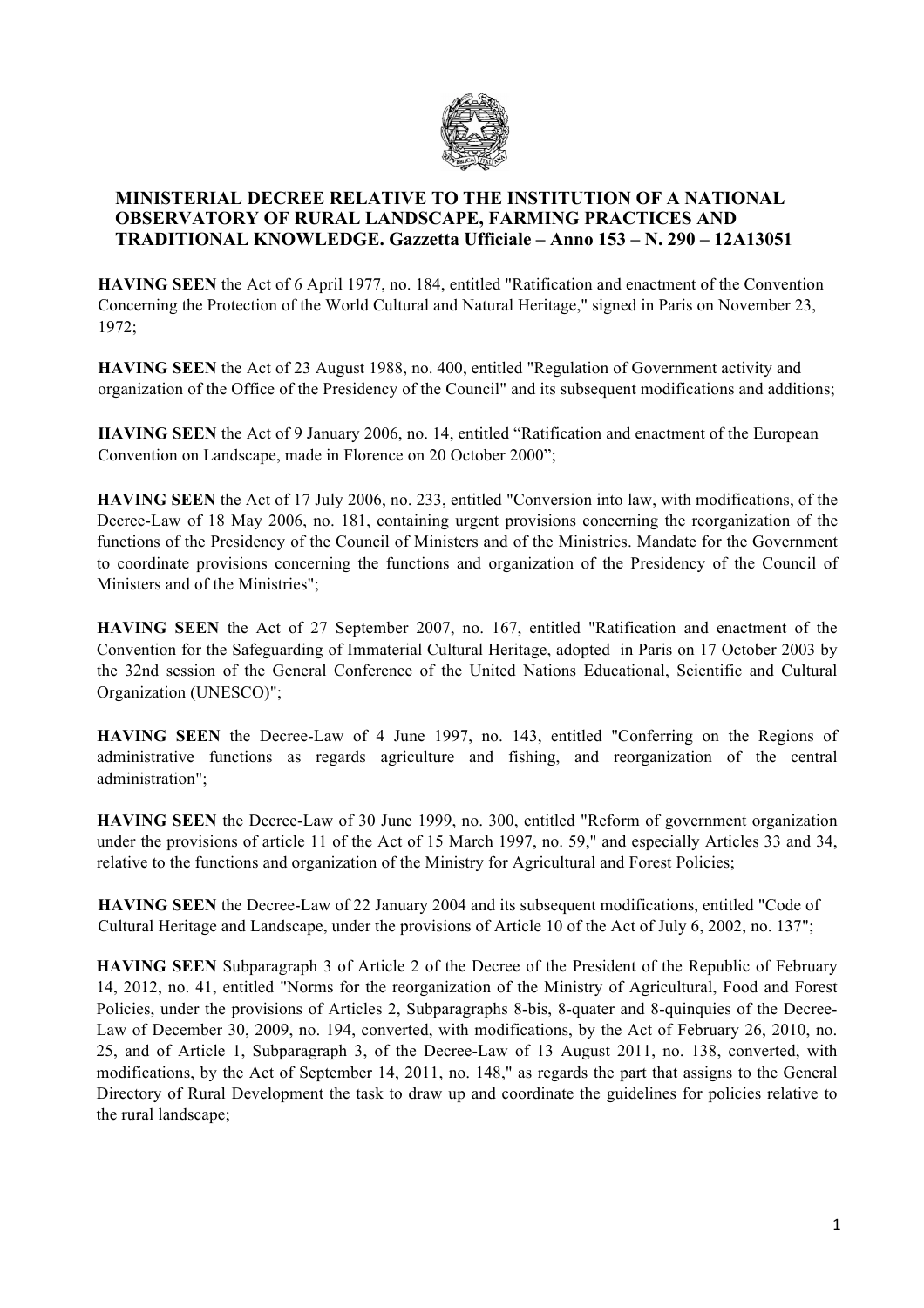

# **MINISTERIAL DECREE RELATIVE TO THE INSTITUTION OF A NATIONAL OBSERVATORY OF RURAL LANDSCAPE, FARMING PRACTICES AND TRADITIONAL KNOWLEDGE. Gazzetta Ufficiale – Anno 153 – N. 290 – 12A13051**

**HAVING SEEN** the Act of 6 April 1977, no. 184, entitled "Ratification and enactment of the Convention Concerning the Protection of the World Cultural and Natural Heritage," signed in Paris on November 23, 1972;

**HAVING SEEN** the Act of 23 August 1988, no. 400, entitled "Regulation of Government activity and organization of the Office of the Presidency of the Council" and its subsequent modifications and additions;

**HAVING SEEN** the Act of 9 January 2006, no. 14, entitled "Ratification and enactment of the European Convention on Landscape, made in Florence on 20 October 2000";

**HAVING SEEN** the Act of 17 July 2006, no. 233, entitled "Conversion into law, with modifications, of the Decree-Law of 18 May 2006, no. 181, containing urgent provisions concerning the reorganization of the functions of the Presidency of the Council of Ministers and of the Ministries. Mandate for the Government to coordinate provisions concerning the functions and organization of the Presidency of the Council of Ministers and of the Ministries";

**HAVING SEEN** the Act of 27 September 2007, no. 167, entitled "Ratification and enactment of the Convention for the Safeguarding of Immaterial Cultural Heritage, adopted in Paris on 17 October 2003 by the 32nd session of the General Conference of the United Nations Educational, Scientific and Cultural Organization (UNESCO)";

**HAVING SEEN** the Decree-Law of 4 June 1997, no. 143, entitled "Conferring on the Regions of administrative functions as regards agriculture and fishing, and reorganization of the central administration";

**HAVING SEEN** the Decree-Law of 30 June 1999, no. 300, entitled "Reform of government organization under the provisions of article 11 of the Act of 15 March 1997, no. 59," and especially Articles 33 and 34, relative to the functions and organization of the Ministry for Agricultural and Forest Policies;

**HAVING SEEN** the Decree-Law of 22 January 2004 and its subsequent modifications, entitled "Code of Cultural Heritage and Landscape, under the provisions of Article 10 of the Act of July 6, 2002, no. 137";

**HAVING SEEN** Subparagraph 3 of Article 2 of the Decree of the President of the Republic of February 14, 2012, no. 41, entitled "Norms for the reorganization of the Ministry of Agricultural, Food and Forest Policies, under the provisions of Articles 2, Subparagraphs 8-bis, 8-quater and 8-quinquies of the Decree-Law of December 30, 2009, no. 194, converted, with modifications, by the Act of February 26, 2010, no. 25, and of Article 1, Subparagraph 3, of the Decree-Law of 13 August 2011, no. 138, converted, with modifications, by the Act of September 14, 2011, no. 148," as regards the part that assigns to the General Directory of Rural Development the task to draw up and coordinate the guidelines for policies relative to the rural landscape;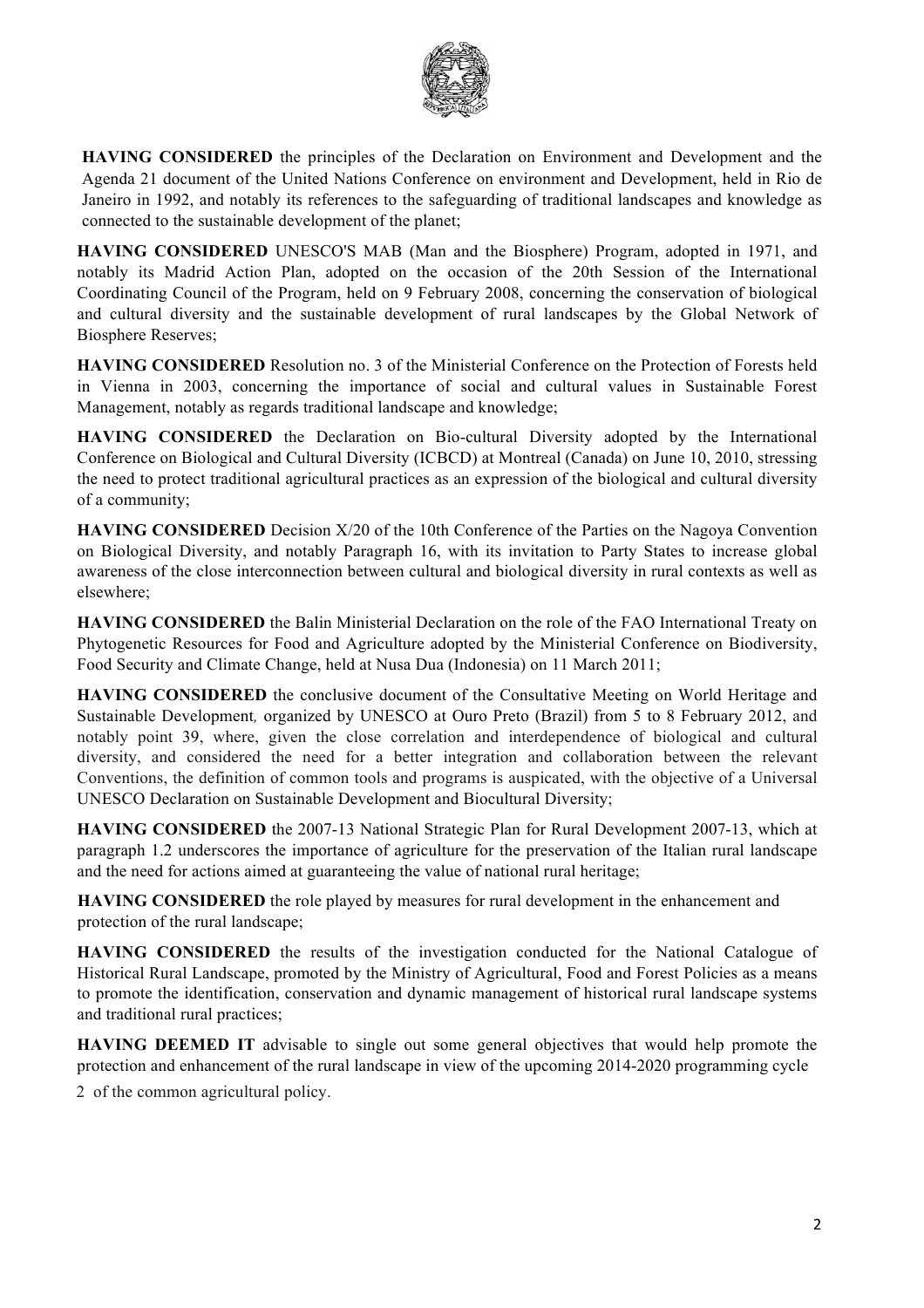

**HAVING CONSIDERED** the principles of the Declaration on Environment and Development and the Agenda 21 document of the United Nations Conference on environment and Development, held in Rio de Janeiro in 1992, and notably its references to the safeguarding of traditional landscapes and knowledge as connected to the sustainable development of the planet;

**HAVING CONSIDERED** UNESCO'S MAB (Man and the Biosphere) Program, adopted in 1971, and notably its Madrid Action Plan, adopted on the occasion of the 20th Session of the International Coordinating Council of the Program, held on 9 February 2008, concerning the conservation of biological and cultural diversity and the sustainable development of rural landscapes by the Global Network of Biosphere Reserves;

**HAVING CONSIDERED** Resolution no. 3 of the Ministerial Conference on the Protection of Forests held in Vienna in 2003, concerning the importance of social and cultural values in Sustainable Forest Management, notably as regards traditional landscape and knowledge;

**HAVING CONSIDERED** the Declaration on Bio-cultural Diversity adopted by the International Conference on Biological and Cultural Diversity (ICBCD) at Montreal (Canada) on June 10, 2010, stressing the need to protect traditional agricultural practices as an expression of the biological and cultural diversity of a community;

**HAVING CONSIDERED** Decision X/20 of the 10th Conference of the Parties on the Nagoya Convention on Biological Diversity, and notably Paragraph 16, with its invitation to Party States to increase global awareness of the close interconnection between cultural and biological diversity in rural contexts as well as elsewhere;

**HAVING CONSIDERED** the Balin Ministerial Declaration on the role of the FAO International Treaty on Phytogenetic Resources for Food and Agriculture adopted by the Ministerial Conference on Biodiversity, Food Security and Climate Change, held at Nusa Dua (Indonesia) on 11 March 2011;

**HAVING CONSIDERED** the conclusive document of the Consultative Meeting on World Heritage and Sustainable Development*,* organized by UNESCO at Ouro Preto (Brazil) from 5 to 8 February 2012, and notably point 39, where, given the close correlation and interdependence of biological and cultural diversity, and considered the need for a better integration and collaboration between the relevant Conventions, the definition of common tools and programs is auspicated, with the objective of a Universal UNESCO Declaration on Sustainable Development and Biocultural Diversity;

**HAVING CONSIDERED** the 2007-13 National Strategic Plan for Rural Development 2007-13, which at paragraph 1.2 underscores the importance of agriculture for the preservation of the Italian rural landscape and the need for actions aimed at guaranteeing the value of national rural heritage;

**HAVING CONSIDERED** the role played by measures for rural development in the enhancement and protection of the rural landscape;

**HAVING CONSIDERED** the results of the investigation conducted for the National Catalogue of Historical Rural Landscape, promoted by the Ministry of Agricultural, Food and Forest Policies as a means to promote the identification, conservation and dynamic management of historical rural landscape systems and traditional rural practices;

**HAVING DEEMED IT** advisable to single out some general objectives that would help promote the protection and enhancement of the rural landscape in view of the upcoming 2014-2020 programming cycle

2 of the common agricultural policy.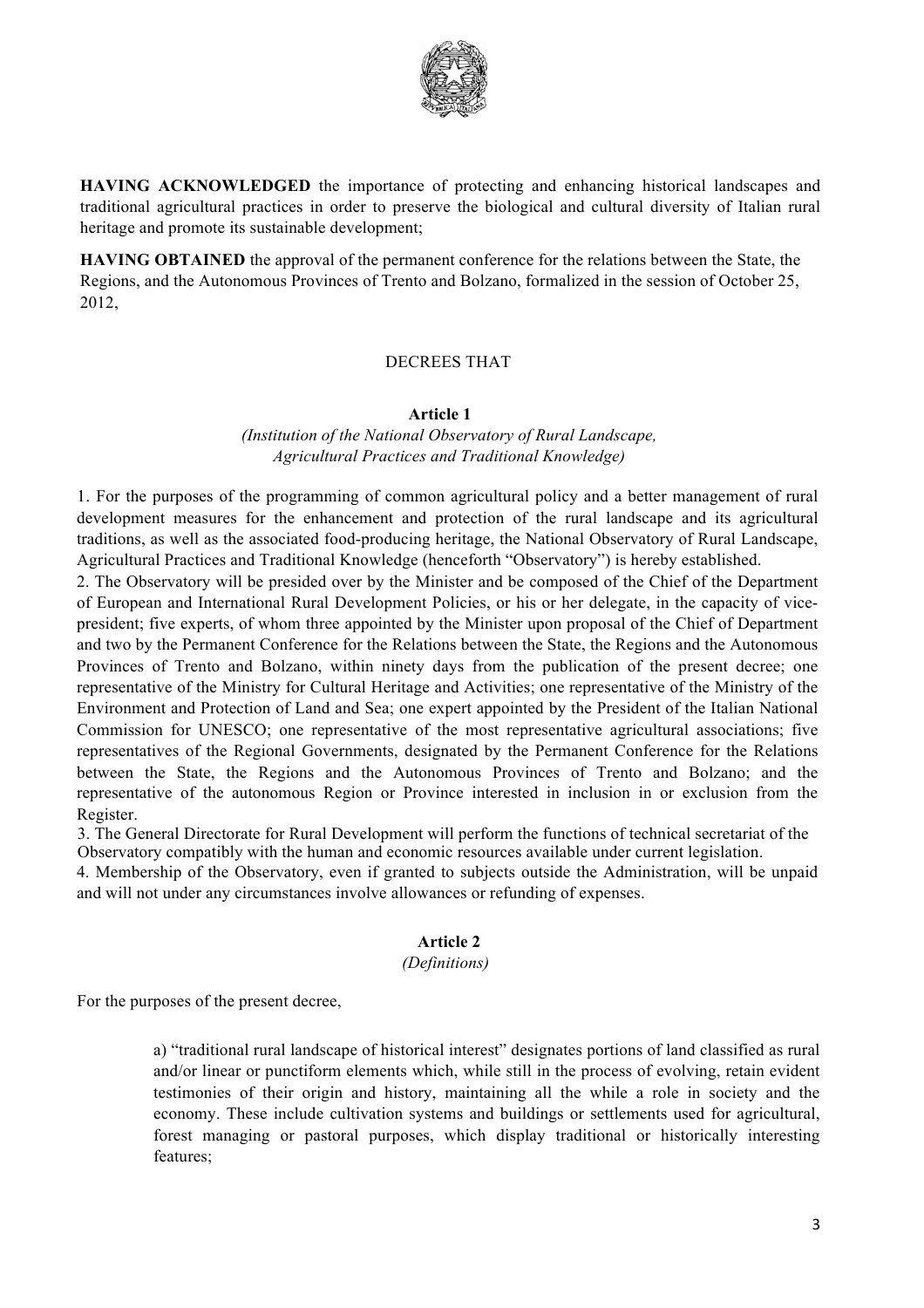

**HAVING ACKNOWLEDGED** the importance of protecting and enhancing historical landscapes and traditional agricultural practices in order to preserve the biological and cultural diversity of Italian rural heritage and promote its sustainable development;

**HAVING OBTAINED** the approval of the permanent conference for the relations between the State, the Regions, and the Autonomous Provinces of Trento and Bolzano, formalized in the session of October 25, 2012,

### DECREES THAT

#### **Article 1**

*(Institution of the National Observatory of Rural Landscape, Agricultural Practices and Traditional Knowledge)*

1. For the purposes of the programming of common agricultural policy and a better management of rural development measures for the enhancement and protection of the rural landscape and its agricultural traditions, as well as the associated food-producing heritage, the National Observatory of Rural Landscape, Agricultural Practices and Traditional Knowledge (henceforth "Observatory") is hereby established.

2. The Observatory will be presided over by the Minister and be composed of the Chief of the Department of European and International Rural Development Policies, or his or her delegate, in the capacity of vicepresident; five experts, of whom three appointed by the Minister upon proposal of the Chief of Department and two by the Permanent Conference for the Relations between the State, the Regions and the Autonomous Provinces of Trento and Bolzano, within ninety days from the publication of the present decree; one representative of the Ministry for Cultural Heritage and Activities; one representative of the Ministry of the Environment and Protection of Land and Sea; one expert appointed by the President of the Italian National Commission for UNESCO; one representative of the most representative agricultural associations; five representatives of the Regional Governments, designated by the Permanent Conference for the Relations between the State, the Regions and the Autonomous Provinces of Trento and Bolzano; and the representative of the autonomous Region or Province interested in inclusion in or exclusion from the Register.

3. The General Directorate for Rural Development will perform the functions of technical secretariat of the Observatory compatibly with the human and economic resources available under current legislation.

4. Membership of the Observatory, even if granted to subjects outside the Administration, will be unpaid and will not under any circumstances involve allowances or refunding of expenses.

## **Article 2**

#### *(Definitions)*

For the purposes of the present decree,

a) "traditional rural landscape of historical interest" designates portions of land classified as rural and/or linear or punctiform elements which, while still in the process of evolving, retain evident testimonies of their origin and history, maintaining all the while a role in society and the economy. These include cultivation systems and buildings or settlements used for agricultural, forest managing or pastoral purposes, which display traditional or historically interesting features;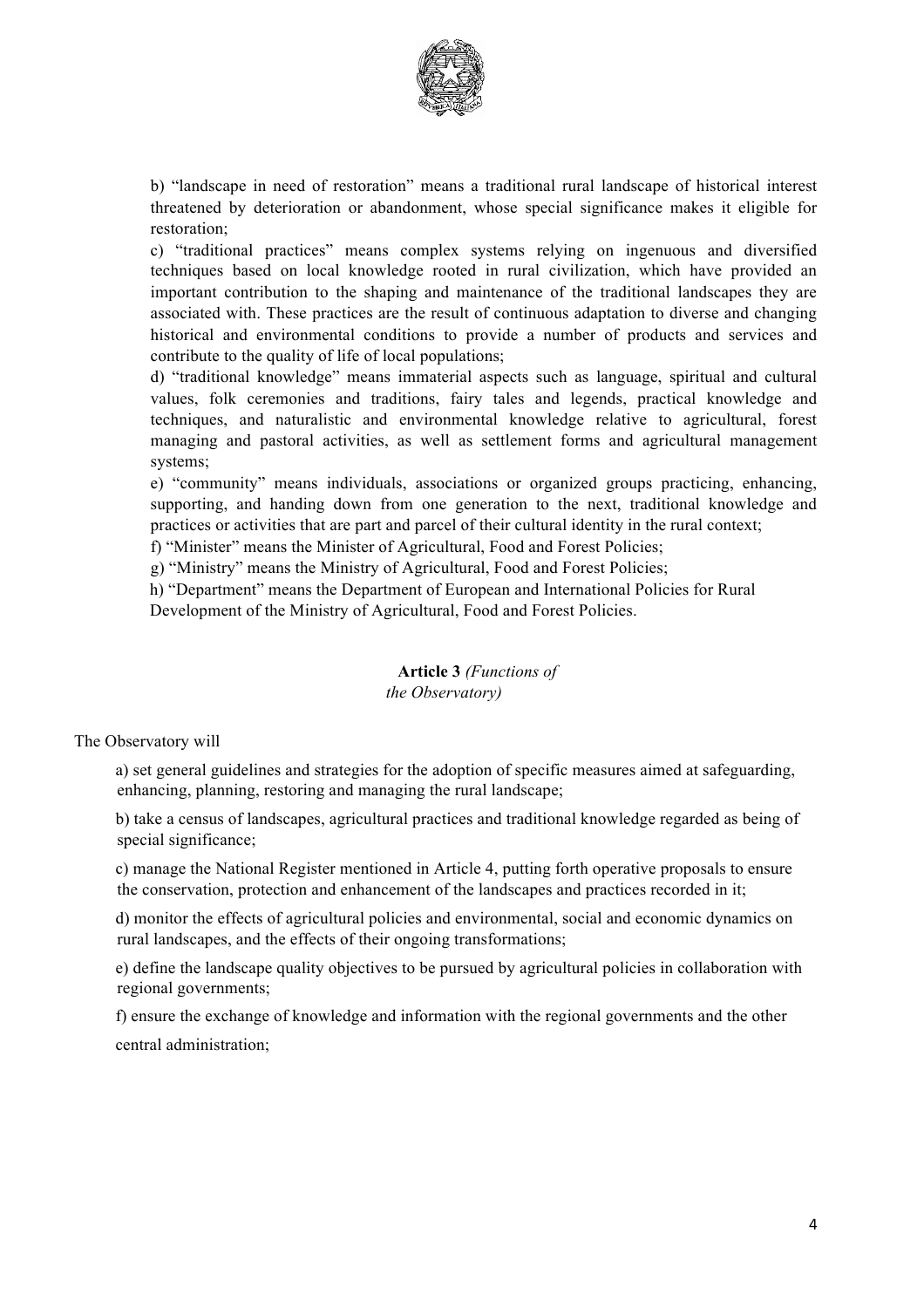

b) "landscape in need of restoration" means a traditional rural landscape of historical interest threatened by deterioration or abandonment, whose special significance makes it eligible for restoration;

c) "traditional practices" means complex systems relying on ingenuous and diversified techniques based on local knowledge rooted in rural civilization, which have provided an important contribution to the shaping and maintenance of the traditional landscapes they are associated with. These practices are the result of continuous adaptation to diverse and changing historical and environmental conditions to provide a number of products and services and contribute to the quality of life of local populations;

d) "traditional knowledge" means immaterial aspects such as language, spiritual and cultural values, folk ceremonies and traditions, fairy tales and legends, practical knowledge and techniques, and naturalistic and environmental knowledge relative to agricultural, forest managing and pastoral activities, as well as settlement forms and agricultural management systems;

e) "community" means individuals, associations or organized groups practicing, enhancing, supporting, and handing down from one generation to the next, traditional knowledge and practices or activities that are part and parcel of their cultural identity in the rural context;

f) "Minister" means the Minister of Agricultural, Food and Forest Policies;

g) "Ministry" means the Ministry of Agricultural, Food and Forest Policies;

h) "Department" means the Department of European and International Policies for Rural

Development of the Ministry of Agricultural, Food and Forest Policies.

# **Article 3** *(Functions of the Observatory)*

The Observatory will

a) set general guidelines and strategies for the adoption of specific measures aimed at safeguarding, enhancing, planning, restoring and managing the rural landscape;

b) take a census of landscapes, agricultural practices and traditional knowledge regarded as being of special significance;

c) manage the National Register mentioned in Article 4, putting forth operative proposals to ensure the conservation, protection and enhancement of the landscapes and practices recorded in it;

d) monitor the effects of agricultural policies and environmental, social and economic dynamics on rural landscapes, and the effects of their ongoing transformations;

e) define the landscape quality objectives to be pursued by agricultural policies in collaboration with regional governments;

f) ensure the exchange of knowledge and information with the regional governments and the other central administration;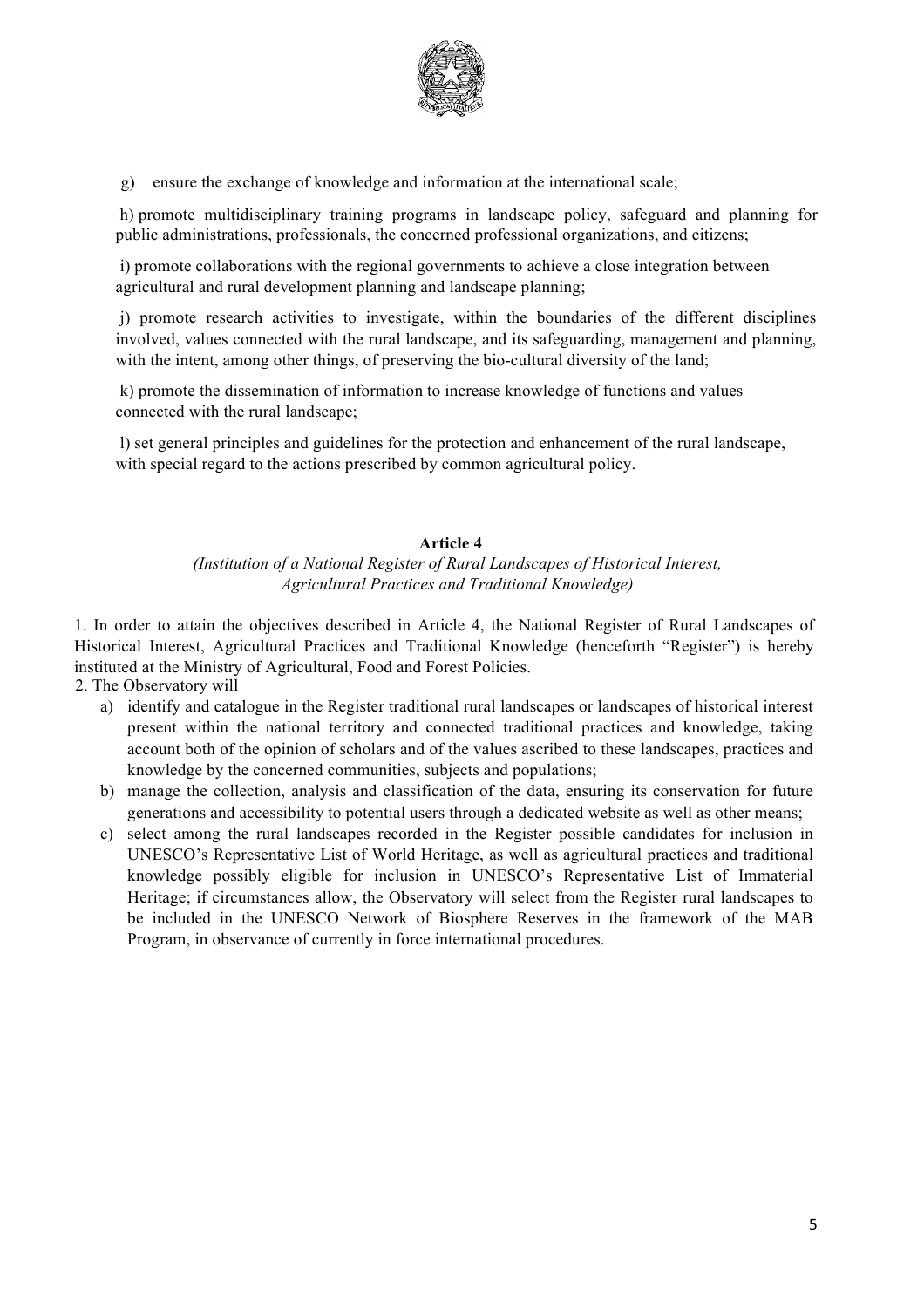

g) ensure the exchange of knowledge and information at the international scale;

h) promote multidisciplinary training programs in landscape policy, safeguard and planning for public administrations, professionals, the concerned professional organizations, and citizens;

i) promote collaborations with the regional governments to achieve a close integration between agricultural and rural development planning and landscape planning;

j) promote research activities to investigate, within the boundaries of the different disciplines involved, values connected with the rural landscape, and its safeguarding, management and planning, with the intent, among other things, of preserving the bio-cultural diversity of the land;

k) promote the dissemination of information to increase knowledge of functions and values connected with the rural landscape;

l) set general principles and guidelines for the protection and enhancement of the rural landscape, with special regard to the actions prescribed by common agricultural policy.

# **Article 4**

# *(Institution of a National Register of Rural Landscapes of Historical Interest, Agricultural Practices and Traditional Knowledge)*

1. In order to attain the objectives described in Article 4, the National Register of Rural Landscapes of Historical Interest, Agricultural Practices and Traditional Knowledge (henceforth "Register") is hereby instituted at the Ministry of Agricultural, Food and Forest Policies.

2. The Observatory will

- a) identify and catalogue in the Register traditional rural landscapes or landscapes of historical interest present within the national territory and connected traditional practices and knowledge, taking account both of the opinion of scholars and of the values ascribed to these landscapes, practices and knowledge by the concerned communities, subjects and populations;
- b) manage the collection, analysis and classification of the data, ensuring its conservation for future generations and accessibility to potential users through a dedicated website as well as other means;
- c) select among the rural landscapes recorded in the Register possible candidates for inclusion in UNESCO's Representative List of World Heritage, as well as agricultural practices and traditional knowledge possibly eligible for inclusion in UNESCO's Representative List of Immaterial Heritage; if circumstances allow, the Observatory will select from the Register rural landscapes to be included in the UNESCO Network of Biosphere Reserves in the framework of the MAB Program, in observance of currently in force international procedures.